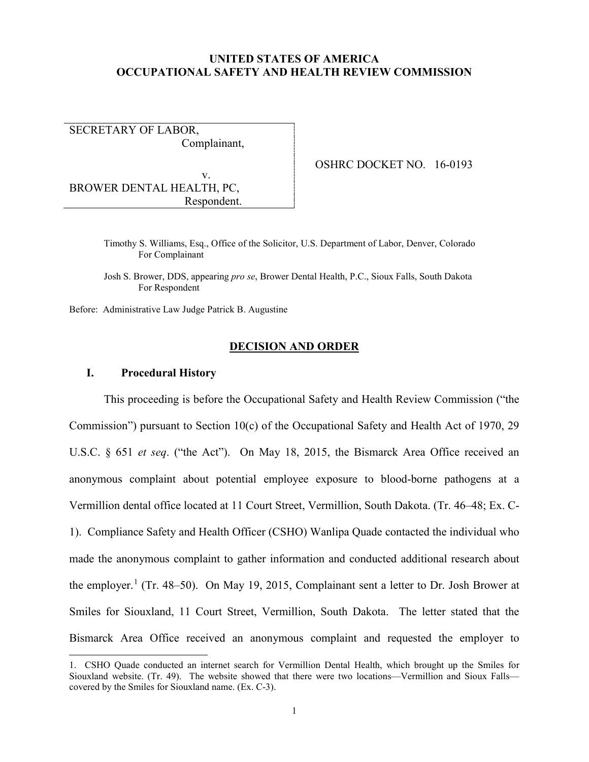# **UNITED STATES OF AMERICA OCCUPATIONAL SAFETY AND HEALTH REVIEW COMMISSION**

SECRETARY OF LABOR, Complainant,

 v. BROWER DENTAL HEALTH, PC, Respondent. OSHRC DOCKET NO. 16-0193

Timothy S. Williams, Esq., Office of the Solicitor, U.S. Department of Labor, Denver, Colorado For Complainant

Josh S. Brower, DDS, appearing *pro se*, Brower Dental Health, P.C., Sioux Falls, South Dakota For Respondent

Before: Administrative Law Judge Patrick B. Augustine

### **DECISION AND ORDER**

# **I. Procedural History**

 $\overline{a}$ 

This proceeding is before the Occupational Safety and Health Review Commission ("the Commission") pursuant to Section 10(c) of the Occupational Safety and Health Act of 1970, 29 U.S.C. § 651 *et seq*. ("the Act"). On May 18, 2015, the Bismarck Area Office received an anonymous complaint about potential employee exposure to blood-borne pathogens at a Vermillion dental office located at 11 Court Street, Vermillion, South Dakota. (Tr. 46–48; Ex. C-1). Compliance Safety and Health Officer (CSHO) Wanlipa Quade contacted the individual who made the anonymous complaint to gather information and conducted additional research about the employer.<sup>[1](#page-0-0)</sup> (Tr. 48–50). On May 19, 2015, Complainant sent a letter to Dr. Josh Brower at Smiles for Siouxland, 11 Court Street, Vermillion, South Dakota. The letter stated that the Bismarck Area Office received an anonymous complaint and requested the employer to

<span id="page-0-0"></span><sup>1.</sup> CSHO Quade conducted an internet search for Vermillion Dental Health, which brought up the Smiles for Siouxland website. (Tr. 49). The website showed that there were two locations—Vermillion and Sioux Falls covered by the Smiles for Siouxland name. (Ex. C-3).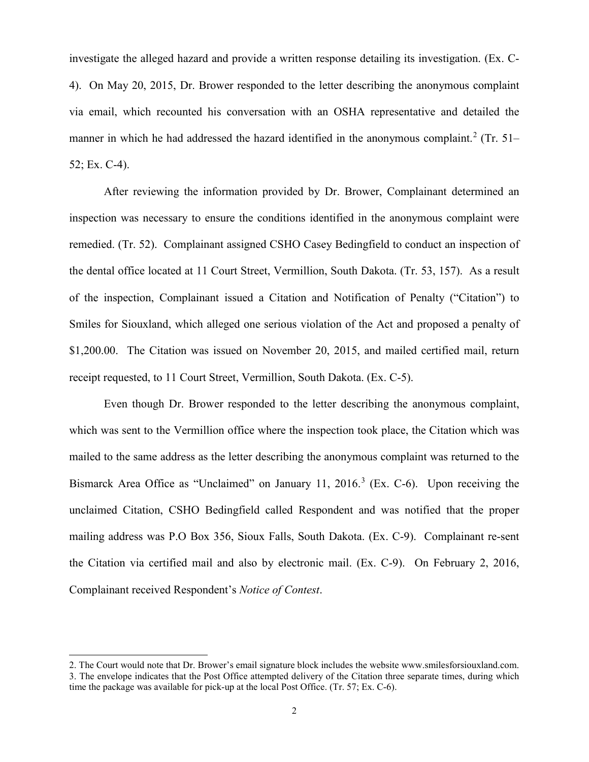investigate the alleged hazard and provide a written response detailing its investigation. (Ex. C-4). On May 20, 2015, Dr. Brower responded to the letter describing the anonymous complaint via email, which recounted his conversation with an OSHA representative and detailed the manner in which he had addressed the hazard identified in the anonymous complaint.<sup>[2](#page-1-0)</sup> (Tr. 51– 52; Ex. C-4).

After reviewing the information provided by Dr. Brower, Complainant determined an inspection was necessary to ensure the conditions identified in the anonymous complaint were remedied. (Tr. 52). Complainant assigned CSHO Casey Bedingfield to conduct an inspection of the dental office located at 11 Court Street, Vermillion, South Dakota. (Tr. 53, 157). As a result of the inspection, Complainant issued a Citation and Notification of Penalty ("Citation") to Smiles for Siouxland, which alleged one serious violation of the Act and proposed a penalty of \$1,200.00. The Citation was issued on November 20, 2015, and mailed certified mail, return receipt requested, to 11 Court Street, Vermillion, South Dakota. (Ex. C-5).

Even though Dr. Brower responded to the letter describing the anonymous complaint, which was sent to the Vermillion office where the inspection took place, the Citation which was mailed to the same address as the letter describing the anonymous complaint was returned to the Bismarck Area Office as "Unclaimed" on January 11, 2016.<sup>[3](#page-1-1)</sup> (Ex. C-6). Upon receiving the unclaimed Citation, CSHO Bedingfield called Respondent and was notified that the proper mailing address was P.O Box 356, Sioux Falls, South Dakota. (Ex. C-9). Complainant re-sent the Citation via certified mail and also by electronic mail. (Ex. C-9). On February 2, 2016, Complainant received Respondent's *Notice of Contest*.

<span id="page-1-1"></span><span id="page-1-0"></span><sup>2.</sup> The Court would note that Dr. Brower's email signature block includes the website www.smilesforsiouxland.com. 3. The envelope indicates that the Post Office attempted delivery of the Citation three separate times, during which time the package was available for pick-up at the local Post Office. (Tr. 57; Ex. C-6).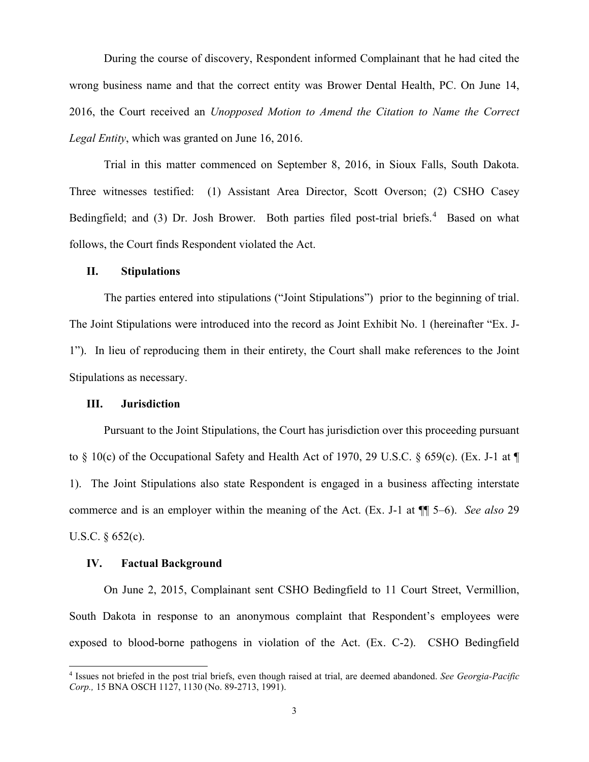During the course of discovery, Respondent informed Complainant that he had cited the wrong business name and that the correct entity was Brower Dental Health, PC. On June 14, 2016, the Court received an *Unopposed Motion to Amend the Citation to Name the Correct Legal Entity*, which was granted on June 16, 2016.

Trial in this matter commenced on September 8, 2016, in Sioux Falls, South Dakota. Three witnesses testified: (1) Assistant Area Director, Scott Overson; (2) CSHO Casey Bedingfield; and (3) Dr. Josh Brower. Both parties filed post-trial briefs.<sup>[4](#page-2-0)</sup> Based on what follows, the Court finds Respondent violated the Act.

# **II. Stipulations**

The parties entered into stipulations ("Joint Stipulations") prior to the beginning of trial. The Joint Stipulations were introduced into the record as Joint Exhibit No. 1 (hereinafter "Ex. J-1"). In lieu of reproducing them in their entirety, the Court shall make references to the Joint Stipulations as necessary.

#### **III. Jurisdiction**

 Pursuant to the Joint Stipulations, the Court has jurisdiction over this proceeding pursuant to  $\S$  10(c) of the Occupational Safety and Health Act of 1970, 29 U.S.C.  $\S$  659(c). (Ex. J-1 at  $\P$ 1). The Joint Stipulations also state Respondent is engaged in a business affecting interstate commerce and is an employer within the meaning of the Act. (Ex. J-1 at ¶¶ 5–6). *See also* 29 U.S.C. § 652(c).

## **IV. Factual Background**

 $\overline{a}$ 

On June 2, 2015, Complainant sent CSHO Bedingfield to 11 Court Street, Vermillion, South Dakota in response to an anonymous complaint that Respondent's employees were exposed to blood-borne pathogens in violation of the Act. (Ex. C-2). CSHO Bedingfield

<span id="page-2-0"></span><sup>4</sup> Issues not briefed in the post trial briefs, even though raised at trial, are deemed abandoned. *See Georgia-Pacific Corp.,* 15 BNA OSCH 1127, 1130 (No. 89-2713, 1991).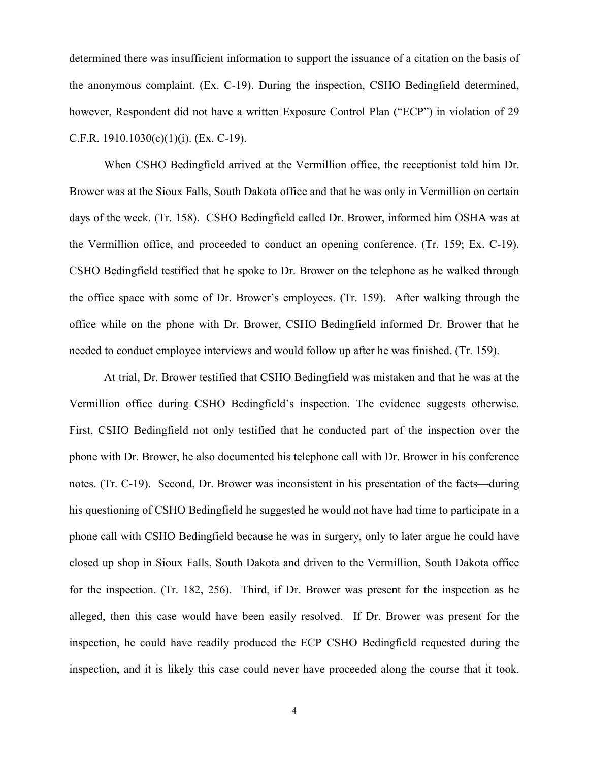determined there was insufficient information to support the issuance of a citation on the basis of the anonymous complaint. (Ex. C-19). During the inspection, CSHO Bedingfield determined, however, Respondent did not have a written Exposure Control Plan ("ECP") in violation of 29 C.F.R.  $1910.1030(c)(1)(i)$ . (Ex. C-19).

 When CSHO Bedingfield arrived at the Vermillion office, the receptionist told him Dr. Brower was at the Sioux Falls, South Dakota office and that he was only in Vermillion on certain days of the week. (Tr. 158). CSHO Bedingfield called Dr. Brower, informed him OSHA was at the Vermillion office, and proceeded to conduct an opening conference. (Tr. 159; Ex. C-19). CSHO Bedingfield testified that he spoke to Dr. Brower on the telephone as he walked through the office space with some of Dr. Brower's employees. (Tr. 159). After walking through the office while on the phone with Dr. Brower, CSHO Bedingfield informed Dr. Brower that he needed to conduct employee interviews and would follow up after he was finished. (Tr. 159).

At trial, Dr. Brower testified that CSHO Bedingfield was mistaken and that he was at the Vermillion office during CSHO Bedingfield's inspection. The evidence suggests otherwise. First, CSHO Bedingfield not only testified that he conducted part of the inspection over the phone with Dr. Brower, he also documented his telephone call with Dr. Brower in his conference notes. (Tr. C-19). Second, Dr. Brower was inconsistent in his presentation of the facts—during his questioning of CSHO Bedingfield he suggested he would not have had time to participate in a phone call with CSHO Bedingfield because he was in surgery, only to later argue he could have closed up shop in Sioux Falls, South Dakota and driven to the Vermillion, South Dakota office for the inspection. (Tr. 182, 256). Third, if Dr. Brower was present for the inspection as he alleged, then this case would have been easily resolved. If Dr. Brower was present for the inspection, he could have readily produced the ECP CSHO Bedingfield requested during the inspection, and it is likely this case could never have proceeded along the course that it took.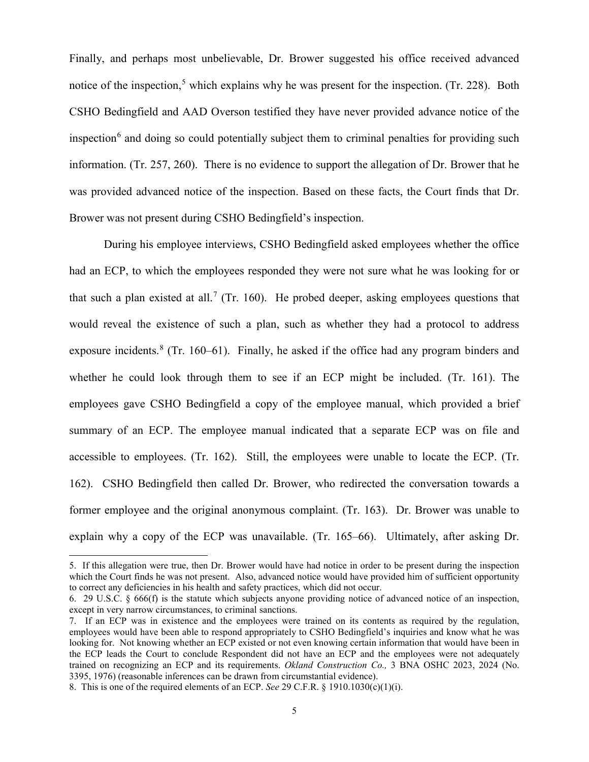Finally, and perhaps most unbelievable, Dr. Brower suggested his office received advanced notice of the inspection,<sup>[5](#page-4-0)</sup> which explains why he was present for the inspection. (Tr. 228). Both CSHO Bedingfield and AAD Overson testified they have never provided advance notice of the inspection<sup>[6](#page-4-1)</sup> and doing so could potentially subject them to criminal penalties for providing such information. (Tr. 257, 260). There is no evidence to support the allegation of Dr. Brower that he was provided advanced notice of the inspection. Based on these facts, the Court finds that Dr. Brower was not present during CSHO Bedingfield's inspection.

During his employee interviews, CSHO Bedingfield asked employees whether the office had an ECP, to which the employees responded they were not sure what he was looking for or that such a plan existed at all.<sup>[7](#page-4-2)</sup> (Tr. 160). He probed deeper, asking employees questions that would reveal the existence of such a plan, such as whether they had a protocol to address exposure incidents.<sup>[8](#page-4-3)</sup> (Tr. 160–61). Finally, he asked if the office had any program binders and whether he could look through them to see if an ECP might be included. (Tr. 161). The employees gave CSHO Bedingfield a copy of the employee manual, which provided a brief summary of an ECP. The employee manual indicated that a separate ECP was on file and accessible to employees. (Tr. 162). Still, the employees were unable to locate the ECP. (Tr. 162). CSHO Bedingfield then called Dr. Brower, who redirected the conversation towards a former employee and the original anonymous complaint. (Tr. 163). Dr. Brower was unable to explain why a copy of the ECP was unavailable. (Tr. 165–66). Ultimately, after asking Dr.

<span id="page-4-0"></span><sup>5.</sup> If this allegation were true, then Dr. Brower would have had notice in order to be present during the inspection which the Court finds he was not present. Also, advanced notice would have provided him of sufficient opportunity to correct any deficiencies in his health and safety practices, which did not occur.

<span id="page-4-1"></span><sup>6. 29</sup> U.S.C. § 666(f) is the statute which subjects anyone providing notice of advanced notice of an inspection, except in very narrow circumstances, to criminal sanctions.

<span id="page-4-2"></span><sup>7.</sup> If an ECP was in existence and the employees were trained on its contents as required by the regulation, employees would have been able to respond appropriately to CSHO Bedingfield's inquiries and know what he was looking for. Not knowing whether an ECP existed or not even knowing certain information that would have been in the ECP leads the Court to conclude Respondent did not have an ECP and the employees were not adequately trained on recognizing an ECP and its requirements. *Okland Construction Co.,* 3 BNA OSHC 2023, 2024 (No. 3395, 1976) (reasonable inferences can be drawn from circumstantial evidence).

<span id="page-4-3"></span><sup>8.</sup> This is one of the required elements of an ECP. *See* 29 C.F.R. § 1910.1030(c)(1)(i).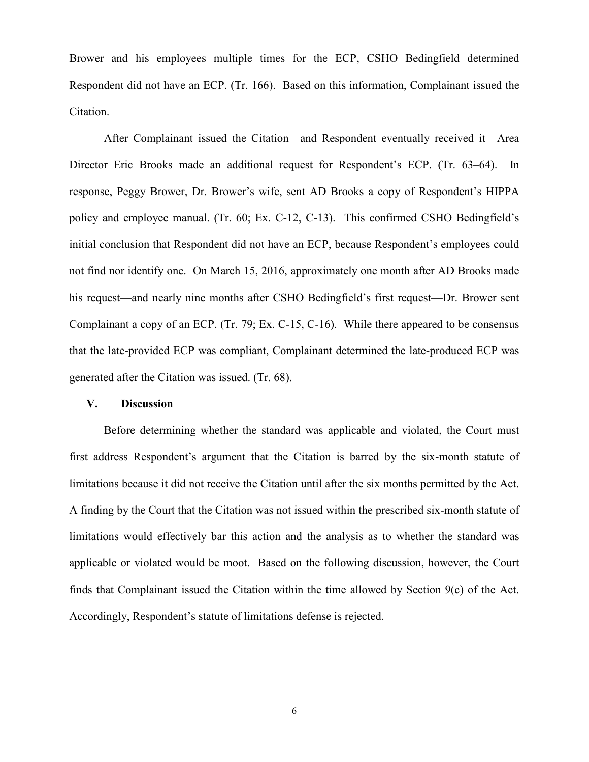Brower and his employees multiple times for the ECP, CSHO Bedingfield determined Respondent did not have an ECP. (Tr. 166). Based on this information, Complainant issued the Citation.

After Complainant issued the Citation—and Respondent eventually received it—Area Director Eric Brooks made an additional request for Respondent's ECP. (Tr. 63–64). In response, Peggy Brower, Dr. Brower's wife, sent AD Brooks a copy of Respondent's HIPPA policy and employee manual. (Tr. 60; Ex. C-12, C-13). This confirmed CSHO Bedingfield's initial conclusion that Respondent did not have an ECP, because Respondent's employees could not find nor identify one. On March 15, 2016, approximately one month after AD Brooks made his request—and nearly nine months after CSHO Bedingfield's first request—Dr. Brower sent Complainant a copy of an ECP. (Tr. 79; Ex. C-15, C-16). While there appeared to be consensus that the late-provided ECP was compliant, Complainant determined the late-produced ECP was generated after the Citation was issued. (Tr. 68).

### **V. Discussion**

Before determining whether the standard was applicable and violated, the Court must first address Respondent's argument that the Citation is barred by the six-month statute of limitations because it did not receive the Citation until after the six months permitted by the Act. A finding by the Court that the Citation was not issued within the prescribed six-month statute of limitations would effectively bar this action and the analysis as to whether the standard was applicable or violated would be moot. Based on the following discussion, however, the Court finds that Complainant issued the Citation within the time allowed by Section 9(c) of the Act. Accordingly, Respondent's statute of limitations defense is rejected.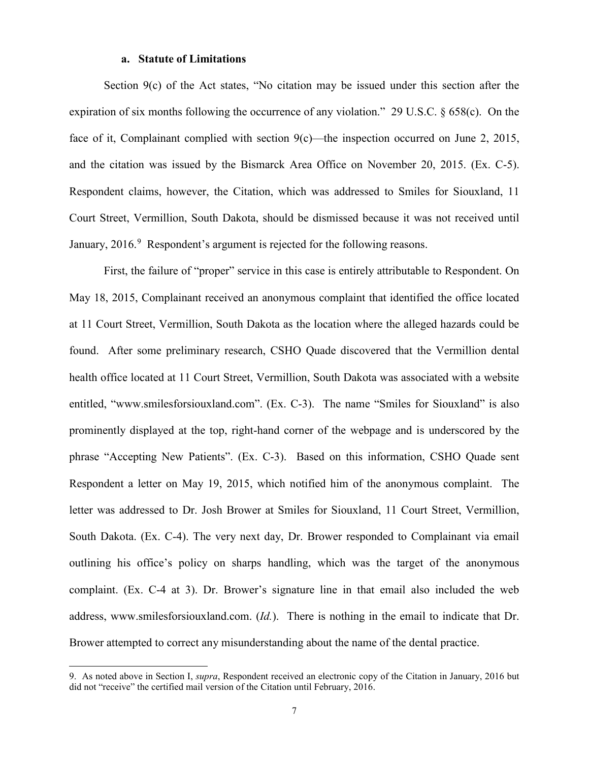# **a. Statute of Limitations**

Section 9(c) of the Act states, "No citation may be issued under this section after the expiration of six months following the occurrence of any violation." 29 U.S.C. § 658(c). On the face of it, Complainant complied with section 9(c)—the inspection occurred on June 2, 2015, and the citation was issued by the Bismarck Area Office on November 20, 2015. (Ex. C-5). Respondent claims, however, the Citation, which was addressed to Smiles for Siouxland, 11 Court Street, Vermillion, South Dakota, should be dismissed because it was not received until January, 2016.<sup>[9](#page-6-0)</sup> Respondent's argument is rejected for the following reasons.

First, the failure of "proper" service in this case is entirely attributable to Respondent. On May 18, 2015, Complainant received an anonymous complaint that identified the office located at 11 Court Street, Vermillion, South Dakota as the location where the alleged hazards could be found. After some preliminary research, CSHO Quade discovered that the Vermillion dental health office located at 11 Court Street, Vermillion, South Dakota was associated with a website entitled, "www.smilesforsiouxland.com". (Ex. C-3). The name "Smiles for Siouxland" is also prominently displayed at the top, right-hand corner of the webpage and is underscored by the phrase "Accepting New Patients". (Ex. C-3). Based on this information, CSHO Quade sent Respondent a letter on May 19, 2015, which notified him of the anonymous complaint. The letter was addressed to Dr. Josh Brower at Smiles for Siouxland, 11 Court Street, Vermillion, South Dakota. (Ex. C-4). The very next day, Dr. Brower responded to Complainant via email outlining his office's policy on sharps handling, which was the target of the anonymous complaint. (Ex. C-4 at 3). Dr. Brower's signature line in that email also included the web address, www.smilesforsiouxland.com. (*Id.*). There is nothing in the email to indicate that Dr. Brower attempted to correct any misunderstanding about the name of the dental practice.

<span id="page-6-0"></span><sup>9.</sup> As noted above in Section I, *supra*, Respondent received an electronic copy of the Citation in January, 2016 but did not "receive" the certified mail version of the Citation until February, 2016.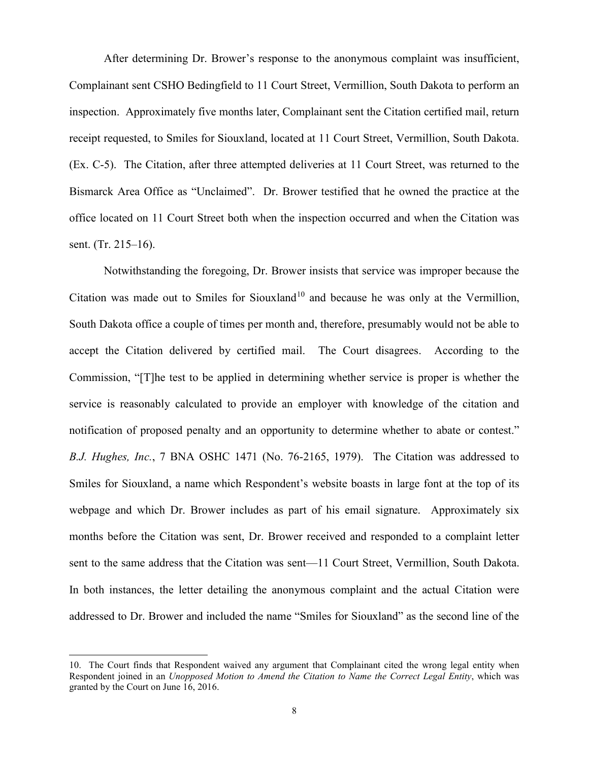After determining Dr. Brower's response to the anonymous complaint was insufficient, Complainant sent CSHO Bedingfield to 11 Court Street, Vermillion, South Dakota to perform an inspection. Approximately five months later, Complainant sent the Citation certified mail, return receipt requested, to Smiles for Siouxland, located at 11 Court Street, Vermillion, South Dakota. (Ex. C-5). The Citation, after three attempted deliveries at 11 Court Street, was returned to the Bismarck Area Office as "Unclaimed". Dr. Brower testified that he owned the practice at the office located on 11 Court Street both when the inspection occurred and when the Citation was sent. (Tr. 215–16).

Notwithstanding the foregoing, Dr. Brower insists that service was improper because the Citation was made out to Smiles for Siouxland<sup>[10](#page-7-0)</sup> and because he was only at the Vermillion, South Dakota office a couple of times per month and, therefore, presumably would not be able to accept the Citation delivered by certified mail. The Court disagrees. According to the Commission, "[T]he test to be applied in determining whether service is proper is whether the service is reasonably calculated to provide an employer with knowledge of the citation and notification of proposed penalty and an opportunity to determine whether to abate or contest." *B.J. Hughes, Inc.*, 7 BNA OSHC 1471 (No. 76-2165, 1979). The Citation was addressed to Smiles for Siouxland, a name which Respondent's website boasts in large font at the top of its webpage and which Dr. Brower includes as part of his email signature. Approximately six months before the Citation was sent, Dr. Brower received and responded to a complaint letter sent to the same address that the Citation was sent—11 Court Street, Vermillion, South Dakota. In both instances, the letter detailing the anonymous complaint and the actual Citation were addressed to Dr. Brower and included the name "Smiles for Siouxland" as the second line of the

<span id="page-7-0"></span><sup>10.</sup> The Court finds that Respondent waived any argument that Complainant cited the wrong legal entity when Respondent joined in an *Unopposed Motion to Amend the Citation to Name the Correct Legal Entity*, which was granted by the Court on June 16, 2016.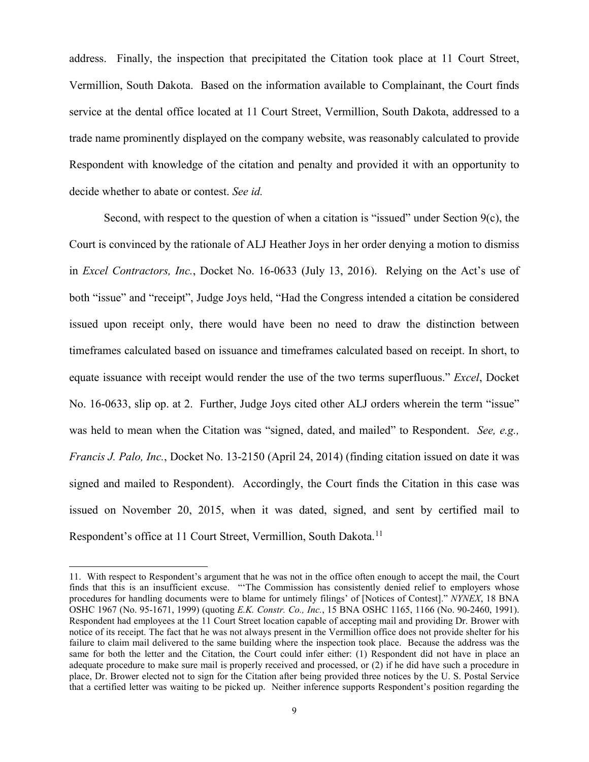address. Finally, the inspection that precipitated the Citation took place at 11 Court Street, Vermillion, South Dakota. Based on the information available to Complainant, the Court finds service at the dental office located at 11 Court Street, Vermillion, South Dakota, addressed to a trade name prominently displayed on the company website, was reasonably calculated to provide Respondent with knowledge of the citation and penalty and provided it with an opportunity to decide whether to abate or contest. *See id.*

Second, with respect to the question of when a citation is "issued" under Section 9(c), the Court is convinced by the rationale of ALJ Heather Joys in her order denying a motion to dismiss in *Excel Contractors, Inc.*, Docket No. 16-0633 (July 13, 2016). Relying on the Act's use of both "issue" and "receipt", Judge Joys held, "Had the Congress intended a citation be considered issued upon receipt only, there would have been no need to draw the distinction between timeframes calculated based on issuance and timeframes calculated based on receipt. In short, to equate issuance with receipt would render the use of the two terms superfluous." *Excel*, Docket No. 16-0633, slip op. at 2. Further, Judge Joys cited other ALJ orders wherein the term "issue" was held to mean when the Citation was "signed, dated, and mailed" to Respondent. *See, e.g., Francis J. Palo, Inc.*, Docket No. 13-2150 (April 24, 2014) (finding citation issued on date it was signed and mailed to Respondent). Accordingly, the Court finds the Citation in this case was issued on November 20, 2015, when it was dated, signed, and sent by certified mail to Respondent's office at [11](#page-8-0) Court Street, Vermillion, South Dakota.<sup>11</sup>

<span id="page-8-0"></span><sup>11.</sup> With respect to Respondent's argument that he was not in the office often enough to accept the mail, the Court finds that this is an insufficient excuse. "'The Commission has consistently denied relief to employers whose procedures for handling documents were to blame for untimely filings' of [Notices of Contest]." *NYNEX*, 18 BNA OSHC 1967 (No. 95-1671, 1999) (quoting *E.K. Constr. Co., Inc.*, 15 BNA OSHC 1165, 1166 (No. 90-2460, 1991). Respondent had employees at the 11 Court Street location capable of accepting mail and providing Dr. Brower with notice of its receipt. The fact that he was not always present in the Vermillion office does not provide shelter for his failure to claim mail delivered to the same building where the inspection took place. Because the address was the same for both the letter and the Citation, the Court could infer either: (1) Respondent did not have in place an adequate procedure to make sure mail is properly received and processed, or (2) if he did have such a procedure in place, Dr. Brower elected not to sign for the Citation after being provided three notices by the U. S. Postal Service that a certified letter was waiting to be picked up. Neither inference supports Respondent's position regarding the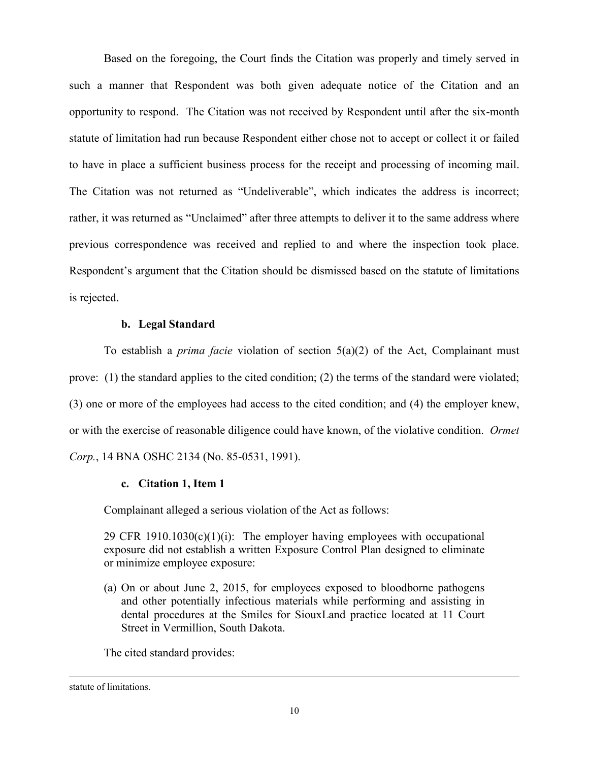Based on the foregoing, the Court finds the Citation was properly and timely served in such a manner that Respondent was both given adequate notice of the Citation and an opportunity to respond. The Citation was not received by Respondent until after the six-month statute of limitation had run because Respondent either chose not to accept or collect it or failed to have in place a sufficient business process for the receipt and processing of incoming mail. The Citation was not returned as "Undeliverable", which indicates the address is incorrect; rather, it was returned as "Unclaimed" after three attempts to deliver it to the same address where previous correspondence was received and replied to and where the inspection took place. Respondent's argument that the Citation should be dismissed based on the statute of limitations is rejected.

#### **b. Legal Standard**

To establish a *prima facie* violation of section 5(a)(2) of the Act, Complainant must prove: (1) the standard applies to the cited condition; (2) the terms of the standard were violated; (3) one or more of the employees had access to the cited condition; and (4) the employer knew, or with the exercise of reasonable diligence could have known, of the violative condition. *Ormet Corp.*, 14 BNA OSHC 2134 (No. 85-0531, 1991).

## **c. Citation 1, Item 1**

Complainant alleged a serious violation of the Act as follows:

29 CFR 1910.1030(c)(1)(i): The employer having employees with occupational exposure did not establish a written Exposure Control Plan designed to eliminate or minimize employee exposure:

(a) On or about June 2, 2015, for employees exposed to bloodborne pathogens and other potentially infectious materials while performing and assisting in dental procedures at the Smiles for SiouxLand practice located at 11 Court Street in Vermillion, South Dakota.

The cited standard provides:

statute of limitations.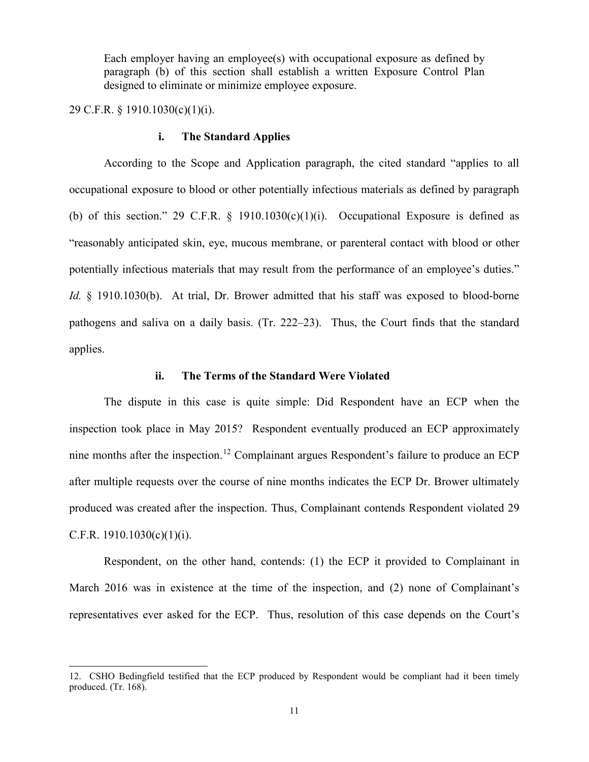Each employer having an employee(s) with occupational exposure as defined by paragraph (b) of this section shall establish a written Exposure Control Plan designed to eliminate or minimize employee exposure.

29 C.F.R. § 1910.1030(c)(1)(i).

 $\overline{a}$ 

#### **i. The Standard Applies**

According to the Scope and Application paragraph, the cited standard "applies to all occupational exposure to blood or other potentially infectious materials as defined by paragraph (b) of this section." 29 C.F.R.  $\S$  1910.1030(c)(1)(i). Occupational Exposure is defined as "reasonably anticipated skin, eye, mucous membrane, or parenteral contact with blood or other potentially infectious materials that may result from the performance of an employee's duties." *Id.* § 1910.1030(b). At trial, Dr. Brower admitted that his staff was exposed to blood-borne pathogens and saliva on a daily basis. (Tr. 222–23). Thus, the Court finds that the standard applies.

# **ii. The Terms of the Standard Were Violated**

The dispute in this case is quite simple: Did Respondent have an ECP when the inspection took place in May 2015? Respondent eventually produced an ECP approximately nine months after the inspection.<sup>[12](#page-10-0)</sup> Complainant argues Respondent's failure to produce an ECP after multiple requests over the course of nine months indicates the ECP Dr. Brower ultimately produced was created after the inspection. Thus, Complainant contends Respondent violated 29 C.F.R.  $1910.1030(c)(1)(i)$ .

Respondent, on the other hand, contends: (1) the ECP it provided to Complainant in March 2016 was in existence at the time of the inspection, and (2) none of Complainant's representatives ever asked for the ECP. Thus, resolution of this case depends on the Court's

<span id="page-10-0"></span><sup>12.</sup> CSHO Bedingfield testified that the ECP produced by Respondent would be compliant had it been timely produced. (Tr. 168).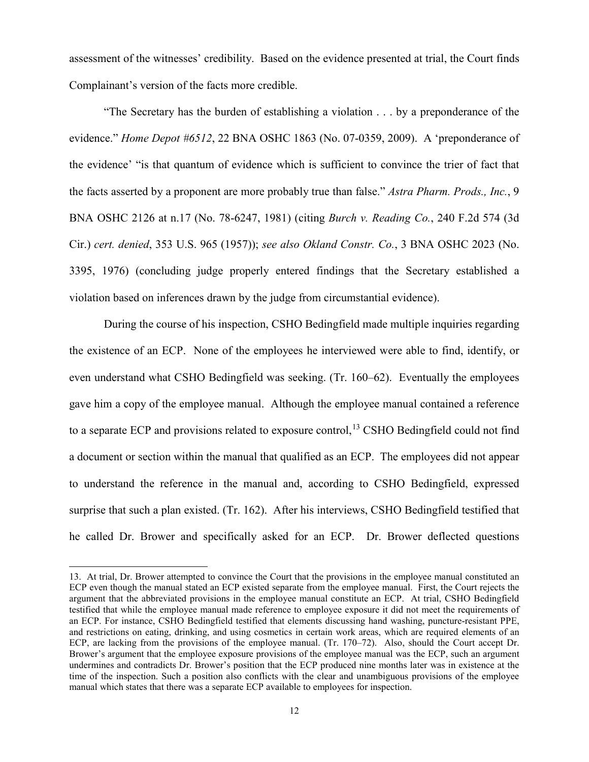assessment of the witnesses' credibility. Based on the evidence presented at trial, the Court finds Complainant's version of the facts more credible.

 "The Secretary has the burden of establishing a violation . . . by a preponderance of the evidence." *Home Depot #6512*, 22 BNA OSHC 1863 (No. 07-0359, 2009). A 'preponderance of the evidence' "is that quantum of evidence which is sufficient to convince the trier of fact that the facts asserted by a proponent are more probably true than false." *Astra Pharm. Prods., Inc.*, 9 BNA OSHC 2126 at n.17 (No. 78-6247, 1981) (citing *Burch v. Reading Co.*, 240 F.2d 574 (3d Cir.) *cert. denied*, 353 U.S. 965 (1957)); *see also Okland Constr. Co.*, 3 BNA OSHC 2023 (No. 3395, 1976) (concluding judge properly entered findings that the Secretary established a violation based on inferences drawn by the judge from circumstantial evidence).

 During the course of his inspection, CSHO Bedingfield made multiple inquiries regarding the existence of an ECP. None of the employees he interviewed were able to find, identify, or even understand what CSHO Bedingfield was seeking. (Tr. 160–62). Eventually the employees gave him a copy of the employee manual. Although the employee manual contained a reference to a separate ECP and provisions related to exposure control,<sup>[13](#page-11-0)</sup> CSHO Bedingfield could not find a document or section within the manual that qualified as an ECP. The employees did not appear to understand the reference in the manual and, according to CSHO Bedingfield, expressed surprise that such a plan existed. (Tr. 162). After his interviews, CSHO Bedingfield testified that he called Dr. Brower and specifically asked for an ECP. Dr. Brower deflected questions

<span id="page-11-0"></span><sup>13.</sup> At trial, Dr. Brower attempted to convince the Court that the provisions in the employee manual constituted an ECP even though the manual stated an ECP existed separate from the employee manual. First, the Court rejects the argument that the abbreviated provisions in the employee manual constitute an ECP. At trial, CSHO Bedingfield testified that while the employee manual made reference to employee exposure it did not meet the requirements of an ECP. For instance, CSHO Bedingfield testified that elements discussing hand washing, puncture-resistant PPE, and restrictions on eating, drinking, and using cosmetics in certain work areas, which are required elements of an ECP, are lacking from the provisions of the employee manual. (Tr. 170–72). Also, should the Court accept Dr. Brower's argument that the employee exposure provisions of the employee manual was the ECP, such an argument undermines and contradicts Dr. Brower's position that the ECP produced nine months later was in existence at the time of the inspection. Such a position also conflicts with the clear and unambiguous provisions of the employee manual which states that there was a separate ECP available to employees for inspection.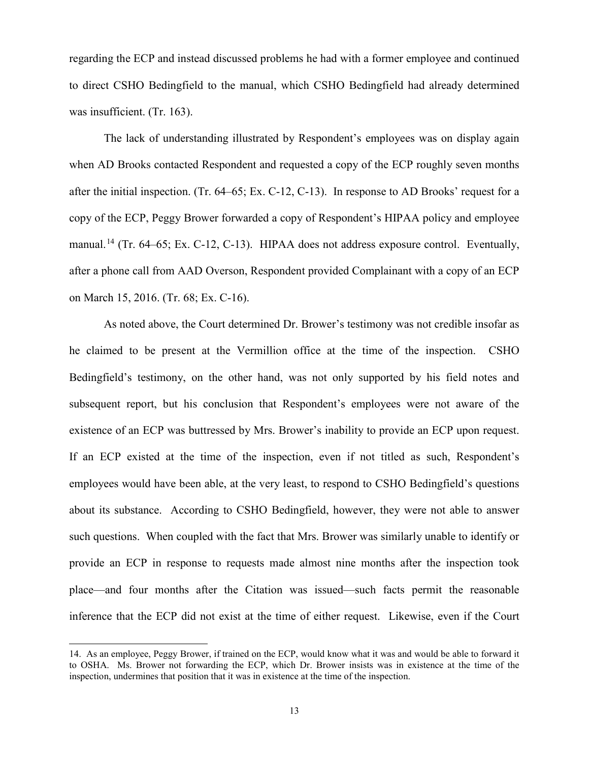regarding the ECP and instead discussed problems he had with a former employee and continued to direct CSHO Bedingfield to the manual, which CSHO Bedingfield had already determined was insufficient. (Tr. 163).

The lack of understanding illustrated by Respondent's employees was on display again when AD Brooks contacted Respondent and requested a copy of the ECP roughly seven months after the initial inspection. (Tr. 64–65; Ex. C-12, C-13). In response to AD Brooks' request for a copy of the ECP, Peggy Brower forwarded a copy of Respondent's HIPAA policy and employee manual.<sup>[14](#page-12-0)</sup> (Tr. 64–65; Ex. C-12, C-13). HIPAA does not address exposure control. Eventually, after a phone call from AAD Overson, Respondent provided Complainant with a copy of an ECP on March 15, 2016. (Tr. 68; Ex. C-16).

As noted above, the Court determined Dr. Brower's testimony was not credible insofar as he claimed to be present at the Vermillion office at the time of the inspection. CSHO Bedingfield's testimony, on the other hand, was not only supported by his field notes and subsequent report, but his conclusion that Respondent's employees were not aware of the existence of an ECP was buttressed by Mrs. Brower's inability to provide an ECP upon request. If an ECP existed at the time of the inspection, even if not titled as such, Respondent's employees would have been able, at the very least, to respond to CSHO Bedingfield's questions about its substance. According to CSHO Bedingfield, however, they were not able to answer such questions. When coupled with the fact that Mrs. Brower was similarly unable to identify or provide an ECP in response to requests made almost nine months after the inspection took place—and four months after the Citation was issued—such facts permit the reasonable inference that the ECP did not exist at the time of either request. Likewise, even if the Court

<span id="page-12-0"></span><sup>14.</sup> As an employee, Peggy Brower, if trained on the ECP, would know what it was and would be able to forward it to OSHA. Ms. Brower not forwarding the ECP, which Dr. Brower insists was in existence at the time of the inspection, undermines that position that it was in existence at the time of the inspection.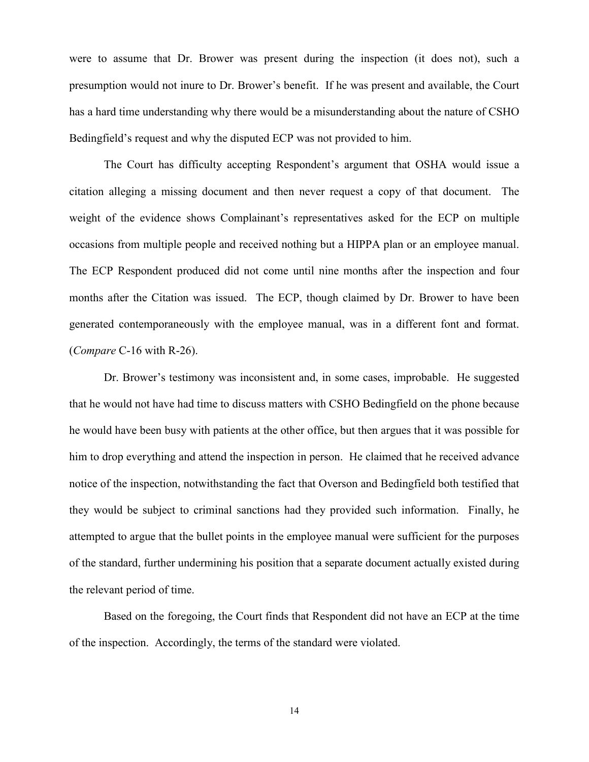were to assume that Dr. Brower was present during the inspection (it does not), such a presumption would not inure to Dr. Brower's benefit. If he was present and available, the Court has a hard time understanding why there would be a misunderstanding about the nature of CSHO Bedingfield's request and why the disputed ECP was not provided to him.

 The Court has difficulty accepting Respondent's argument that OSHA would issue a citation alleging a missing document and then never request a copy of that document. The weight of the evidence shows Complainant's representatives asked for the ECP on multiple occasions from multiple people and received nothing but a HIPPA plan or an employee manual. The ECP Respondent produced did not come until nine months after the inspection and four months after the Citation was issued. The ECP, though claimed by Dr. Brower to have been generated contemporaneously with the employee manual, was in a different font and format. (*Compare* C-16 with R-26).

Dr. Brower's testimony was inconsistent and, in some cases, improbable. He suggested that he would not have had time to discuss matters with CSHO Bedingfield on the phone because he would have been busy with patients at the other office, but then argues that it was possible for him to drop everything and attend the inspection in person. He claimed that he received advance notice of the inspection, notwithstanding the fact that Overson and Bedingfield both testified that they would be subject to criminal sanctions had they provided such information. Finally, he attempted to argue that the bullet points in the employee manual were sufficient for the purposes of the standard, further undermining his position that a separate document actually existed during the relevant period of time.

Based on the foregoing, the Court finds that Respondent did not have an ECP at the time of the inspection. Accordingly, the terms of the standard were violated.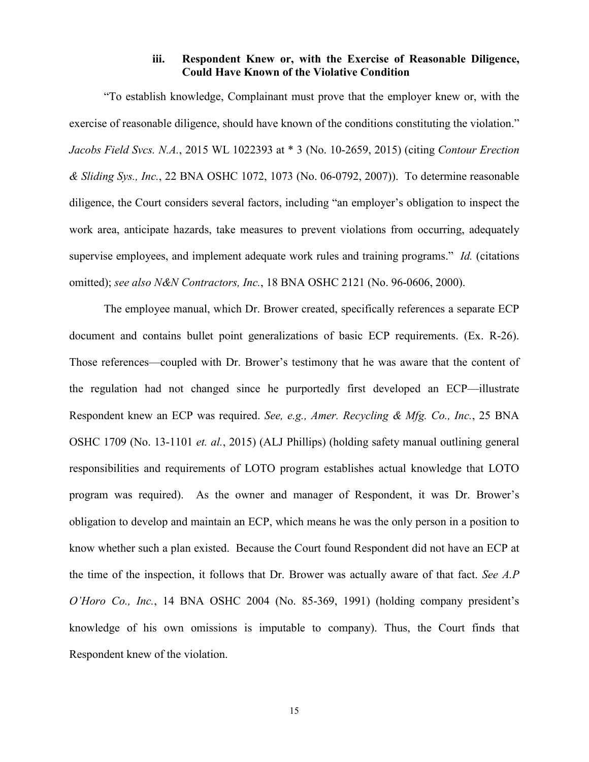# **iii. Respondent Knew or, with the Exercise of Reasonable Diligence, Could Have Known of the Violative Condition**

"To establish knowledge, Complainant must prove that the employer knew or, with the exercise of reasonable diligence, should have known of the conditions constituting the violation." *Jacobs Field Svcs. N.A.*, 2015 WL 1022393 at \* 3 (No. 10-2659, 2015) (citing *Contour Erection & Sliding Sys., Inc.*, 22 BNA OSHC 1072, 1073 (No. 06-0792, 2007)). To determine reasonable diligence, the Court considers several factors, including "an employer's obligation to inspect the work area, anticipate hazards, take measures to prevent violations from occurring, adequately supervise employees, and implement adequate work rules and training programs." *Id.* (citations omitted); *see also N&N Contractors, Inc.*, 18 BNA OSHC 2121 (No. 96-0606, 2000).

The employee manual, which Dr. Brower created, specifically references a separate ECP document and contains bullet point generalizations of basic ECP requirements. (Ex. R-26). Those references—coupled with Dr. Brower's testimony that he was aware that the content of the regulation had not changed since he purportedly first developed an ECP—illustrate Respondent knew an ECP was required. *See, e.g., Amer. Recycling & Mfg. Co., Inc.*, 25 BNA OSHC 1709 (No. 13-1101 *et. al.*, 2015) (ALJ Phillips) (holding safety manual outlining general responsibilities and requirements of LOTO program establishes actual knowledge that LOTO program was required). As the owner and manager of Respondent, it was Dr. Brower's obligation to develop and maintain an ECP, which means he was the only person in a position to know whether such a plan existed. Because the Court found Respondent did not have an ECP at the time of the inspection, it follows that Dr. Brower was actually aware of that fact. *See A.P O'Horo Co., Inc.*, 14 BNA OSHC 2004 (No. 85-369, 1991) (holding company president's knowledge of his own omissions is imputable to company). Thus, the Court finds that Respondent knew of the violation.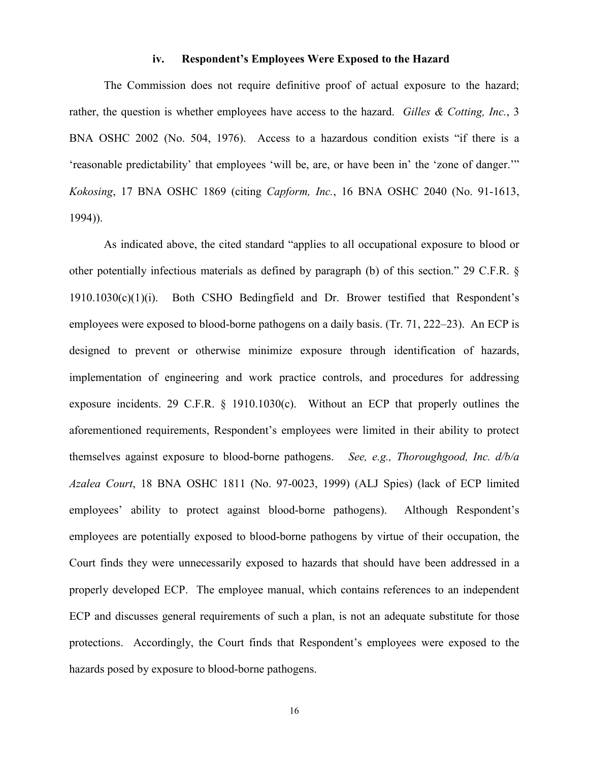# **iv. Respondent's Employees Were Exposed to the Hazard**

The Commission does not require definitive proof of actual exposure to the hazard; rather, the question is whether employees have access to the hazard. *Gilles & Cotting, Inc.*, 3 BNA OSHC 2002 (No. 504, 1976). Access to a hazardous condition exists "if there is a 'reasonable predictability' that employees 'will be, are, or have been in' the 'zone of danger.'" *Kokosing*, 17 BNA OSHC 1869 (citing *Capform, Inc.*, 16 BNA OSHC 2040 (No. 91-1613, 1994)).

As indicated above, the cited standard "applies to all occupational exposure to blood or other potentially infectious materials as defined by paragraph (b) of this section." 29 C.F.R. § 1910.1030(c)(1)(i). Both CSHO Bedingfield and Dr. Brower testified that Respondent's employees were exposed to blood-borne pathogens on a daily basis. (Tr. 71, 222–23). An ECP is designed to prevent or otherwise minimize exposure through identification of hazards, implementation of engineering and work practice controls, and procedures for addressing exposure incidents. 29 C.F.R. § 1910.1030(c). Without an ECP that properly outlines the aforementioned requirements, Respondent's employees were limited in their ability to protect themselves against exposure to blood-borne pathogens. *See, e.g., Thoroughgood, Inc. d/b/a Azalea Court*, 18 BNA OSHC 1811 (No. 97-0023, 1999) (ALJ Spies) (lack of ECP limited employees' ability to protect against blood-borne pathogens). Although Respondent's employees are potentially exposed to blood-borne pathogens by virtue of their occupation, the Court finds they were unnecessarily exposed to hazards that should have been addressed in a properly developed ECP. The employee manual, which contains references to an independent ECP and discusses general requirements of such a plan, is not an adequate substitute for those protections. Accordingly, the Court finds that Respondent's employees were exposed to the hazards posed by exposure to blood-borne pathogens.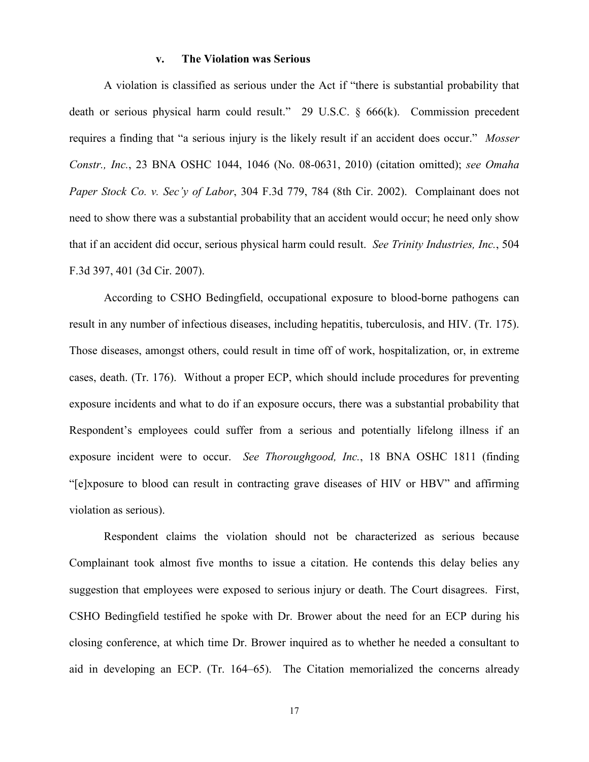#### **v. The Violation was Serious**

A violation is classified as serious under the Act if "there is substantial probability that death or serious physical harm could result." 29 U.S.C. § 666(k). Commission precedent requires a finding that "a serious injury is the likely result if an accident does occur." *Mosser Constr., Inc.*, 23 BNA OSHC 1044, 1046 (No. 08-0631, 2010) (citation omitted); *see Omaha Paper Stock Co. v. Sec'y of Labor*, 304 F.3d 779, 784 (8th Cir. 2002). Complainant does not need to show there was a substantial probability that an accident would occur; he need only show that if an accident did occur, serious physical harm could result. *See Trinity Industries, Inc.*, 504 F.3d 397, 401 (3d Cir. 2007).

According to CSHO Bedingfield, occupational exposure to blood-borne pathogens can result in any number of infectious diseases, including hepatitis, tuberculosis, and HIV. (Tr. 175). Those diseases, amongst others, could result in time off of work, hospitalization, or, in extreme cases, death. (Tr. 176). Without a proper ECP, which should include procedures for preventing exposure incidents and what to do if an exposure occurs, there was a substantial probability that Respondent's employees could suffer from a serious and potentially lifelong illness if an exposure incident were to occur. *See Thoroughgood, Inc.*, 18 BNA OSHC 1811 (finding "[e]xposure to blood can result in contracting grave diseases of HIV or HBV" and affirming violation as serious).

Respondent claims the violation should not be characterized as serious because Complainant took almost five months to issue a citation. He contends this delay belies any suggestion that employees were exposed to serious injury or death. The Court disagrees. First, CSHO Bedingfield testified he spoke with Dr. Brower about the need for an ECP during his closing conference, at which time Dr. Brower inquired as to whether he needed a consultant to aid in developing an ECP. (Tr. 164–65). The Citation memorialized the concerns already

17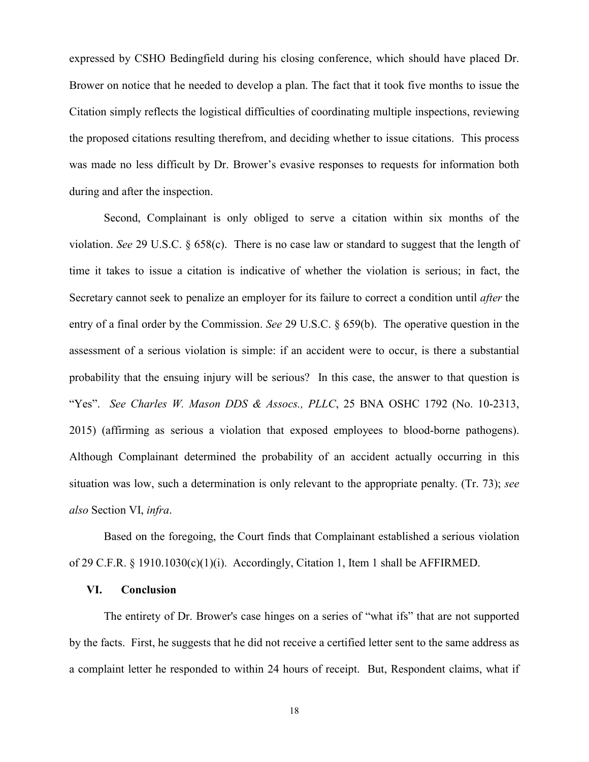expressed by CSHO Bedingfield during his closing conference, which should have placed Dr. Brower on notice that he needed to develop a plan. The fact that it took five months to issue the Citation simply reflects the logistical difficulties of coordinating multiple inspections, reviewing the proposed citations resulting therefrom, and deciding whether to issue citations. This process was made no less difficult by Dr. Brower's evasive responses to requests for information both during and after the inspection.

 Second, Complainant is only obliged to serve a citation within six months of the violation. *See* 29 U.S.C. § 658(c). There is no case law or standard to suggest that the length of time it takes to issue a citation is indicative of whether the violation is serious; in fact, the Secretary cannot seek to penalize an employer for its failure to correct a condition until *after* the entry of a final order by the Commission. *See* 29 U.S.C. § 659(b). The operative question in the assessment of a serious violation is simple: if an accident were to occur, is there a substantial probability that the ensuing injury will be serious? In this case, the answer to that question is "Yes". *See Charles W. Mason DDS & Assocs., PLLC*, 25 BNA OSHC 1792 (No. 10-2313, 2015) (affirming as serious a violation that exposed employees to blood-borne pathogens). Although Complainant determined the probability of an accident actually occurring in this situation was low, such a determination is only relevant to the appropriate penalty. (Tr. 73); *see also* Section VI, *infra*.

Based on the foregoing, the Court finds that Complainant established a serious violation of 29 C.F.R. § 1910.1030(c)(1)(i). Accordingly, Citation 1, Item 1 shall be AFFIRMED.

## **VI. Conclusion**

 The entirety of Dr. Brower's case hinges on a series of "what ifs" that are not supported by the facts. First, he suggests that he did not receive a certified letter sent to the same address as a complaint letter he responded to within 24 hours of receipt. But, Respondent claims, what if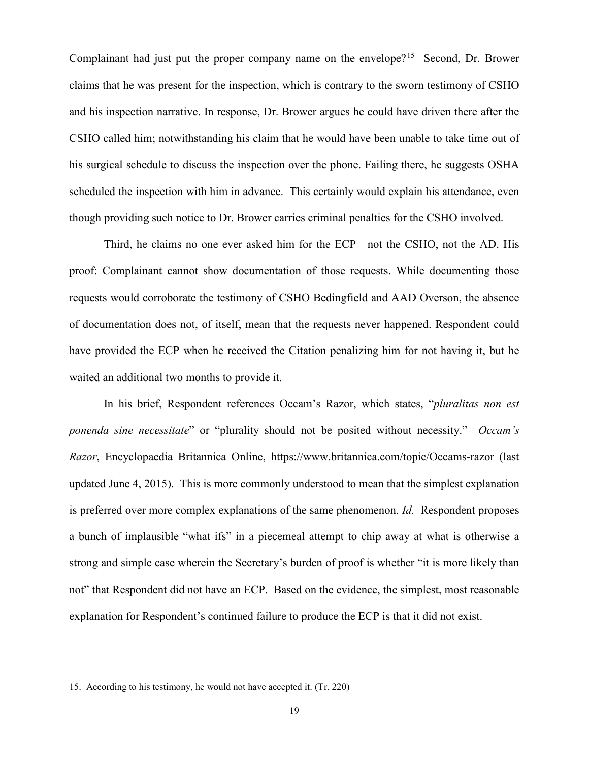Complainant had just put the proper company name on the envelope?<sup>[15](#page-18-0)</sup> Second, Dr. Brower claims that he was present for the inspection, which is contrary to the sworn testimony of CSHO and his inspection narrative. In response, Dr. Brower argues he could have driven there after the CSHO called him; notwithstanding his claim that he would have been unable to take time out of his surgical schedule to discuss the inspection over the phone. Failing there, he suggests OSHA scheduled the inspection with him in advance. This certainly would explain his attendance, even though providing such notice to Dr. Brower carries criminal penalties for the CSHO involved.

Third, he claims no one ever asked him for the ECP—not the CSHO, not the AD. His proof: Complainant cannot show documentation of those requests. While documenting those requests would corroborate the testimony of CSHO Bedingfield and AAD Overson, the absence of documentation does not, of itself, mean that the requests never happened. Respondent could have provided the ECP when he received the Citation penalizing him for not having it, but he waited an additional two months to provide it.

In his brief, Respondent references Occam's Razor, which states, "*pluralitas non est ponenda sine necessitate*" or "plurality should not be posited without necessity." *Occam's Razor*, Encyclopaedia Britannica Online, https://www.britannica.com/topic/Occams-razor (last updated June 4, 2015). This is more commonly understood to mean that the simplest explanation is preferred over more complex explanations of the same phenomenon. *Id.* Respondent proposes a bunch of implausible "what ifs" in a piecemeal attempt to chip away at what is otherwise a strong and simple case wherein the Secretary's burden of proof is whether "it is more likely than not" that Respondent did not have an ECP. Based on the evidence, the simplest, most reasonable explanation for Respondent's continued failure to produce the ECP is that it did not exist.

<span id="page-18-0"></span><sup>15.</sup> According to his testimony, he would not have accepted it. (Tr. 220)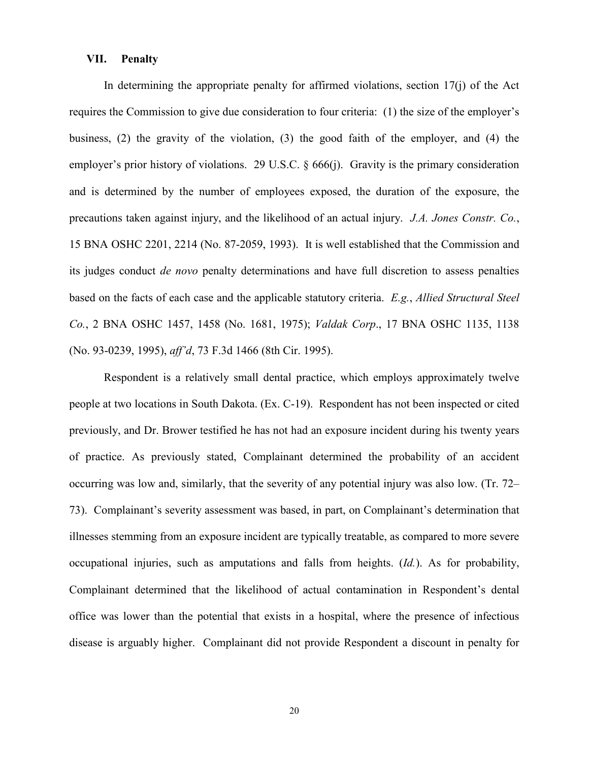# **VII. Penalty**

In determining the appropriate penalty for affirmed violations, section  $17(i)$  of the Act requires the Commission to give due consideration to four criteria: (1) the size of the employer's business, (2) the gravity of the violation, (3) the good faith of the employer, and (4) the employer's prior history of violations. 29 U.S.C. § 666(j). Gravity is the primary consideration and is determined by the number of employees exposed, the duration of the exposure, the precautions taken against injury, and the likelihood of an actual injury. *J.A. Jones Constr. Co.*, 15 BNA OSHC 2201, 2214 (No. 87-2059, 1993). It is well established that the Commission and its judges conduct *de novo* penalty determinations and have full discretion to assess penalties based on the facts of each case and the applicable statutory criteria. *E.g.*, *Allied Structural Steel Co.*, 2 BNA OSHC 1457, 1458 (No. 1681, 1975); *Valdak Corp*., 17 BNA OSHC 1135, 1138 (No. 93-0239, 1995), *aff'd*, 73 F.3d 1466 (8th Cir. 1995).

Respondent is a relatively small dental practice, which employs approximately twelve people at two locations in South Dakota. (Ex. C-19). Respondent has not been inspected or cited previously, and Dr. Brower testified he has not had an exposure incident during his twenty years of practice. As previously stated, Complainant determined the probability of an accident occurring was low and, similarly, that the severity of any potential injury was also low. (Tr. 72– 73). Complainant's severity assessment was based, in part, on Complainant's determination that illnesses stemming from an exposure incident are typically treatable, as compared to more severe occupational injuries, such as amputations and falls from heights. (*Id.*). As for probability, Complainant determined that the likelihood of actual contamination in Respondent's dental office was lower than the potential that exists in a hospital, where the presence of infectious disease is arguably higher. Complainant did not provide Respondent a discount in penalty for